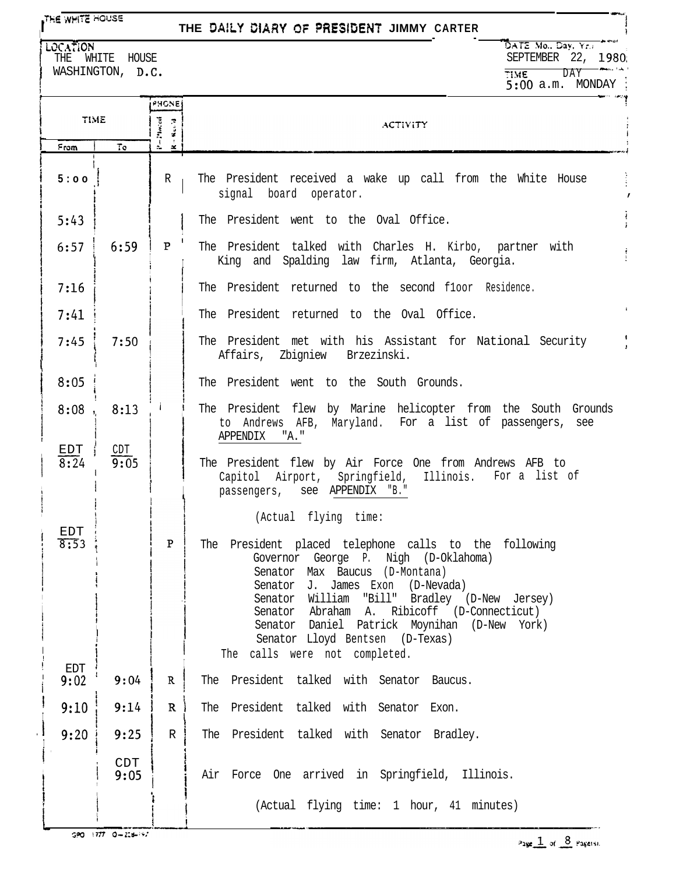## **THE WHITE HOUSE**

## THE DAILY DIARY OF PRESIDENT JIMMY CARTER

LOCATION THE WHITE HOUSE WASHINGTON, D.C.

DATE Mo., Day, Yr. SEPTEMBER 22, 1980 TIME DAY TIME<br>5:00 a.m. MONDAY

|                    |             | PHONE                           |                                                                                                                                                                                                                                                                                                                                                                                                                             |
|--------------------|-------------|---------------------------------|-----------------------------------------------------------------------------------------------------------------------------------------------------------------------------------------------------------------------------------------------------------------------------------------------------------------------------------------------------------------------------------------------------------------------------|
| TIME               |             | Placed<br>  Net-31              | <b>ACTIVITY</b>                                                                                                                                                                                                                                                                                                                                                                                                             |
| From               | To          | $\frac{1}{2\pi}=\frac{1}{2\pi}$ |                                                                                                                                                                                                                                                                                                                                                                                                                             |
| 5:00               |             | R                               | The President received a wake up call from the White House<br>signal board operator.                                                                                                                                                                                                                                                                                                                                        |
| 5:43               |             |                                 | The President went to the Oval Office.                                                                                                                                                                                                                                                                                                                                                                                      |
| 6:57               | 6:59        | P                               | The President talked with Charles H. Kirbo, partner with<br>King and Spalding law firm, Atlanta, Georgia.                                                                                                                                                                                                                                                                                                                   |
| 7:16               |             |                                 | The President returned to the second floor Residence.                                                                                                                                                                                                                                                                                                                                                                       |
| 7:41               |             |                                 | The President returned to the Oval Office.                                                                                                                                                                                                                                                                                                                                                                                  |
| 7:45               | 7:50        |                                 | The President met with his Assistant for National Security<br>Affairs, Zbigniew Brzezinski.                                                                                                                                                                                                                                                                                                                                 |
| 8:05               |             |                                 | The President went to the South Grounds.                                                                                                                                                                                                                                                                                                                                                                                    |
| 8:08               | 8:13        |                                 | The President flew by Marine helicopter from the South Grounds<br>to Andrews AFB, Maryland. For a list of passengers, see<br>APPENDIX<br>"A."                                                                                                                                                                                                                                                                               |
| EDT<br>8:24        | CDT<br>9:05 |                                 | The President flew by Air Force One from Andrews AFB to<br>Capitol Airport, Springfield, Illinois. For a list of<br>passengers, see APPENDIX "B."                                                                                                                                                                                                                                                                           |
| EDT<br>8:53<br>EDT |             | $\mathbf{P}$                    | (Actual flying time:<br>The President placed telephone calls to the following<br>Governor George P. Nigh (D-Oklahoma)<br>Senator Max Baucus (D-Montana)<br>J. James Exon<br>(D-Nevada)<br>Senator<br>William "Bill" Bradley (D-New Jersey)<br>Senator<br>Abraham A. Ribicoff (D-Connecticut)<br>Senator<br>Senator Daniel Patrick Moynihan (D-New York)<br>Senator Lloyd Bentsen (D-Texas)<br>The calls were not completed. |
| 9:02               | 9:04        | $\mathbb{R}$                    | The President talked with Senator Baucus.                                                                                                                                                                                                                                                                                                                                                                                   |
| 9:10               | 9:14        | $\mathbf R$                     | The President talked with Senator Exon.                                                                                                                                                                                                                                                                                                                                                                                     |
| 9:20               | 9:25        | $\mathbb R$                     | The President talked with Senator Bradley.                                                                                                                                                                                                                                                                                                                                                                                  |
|                    | CDT<br>9:05 |                                 | Air Force One arrived in Springfield, Illinois.<br>(Actual flying time: 1 hour, 41 minutes)                                                                                                                                                                                                                                                                                                                                 |
|                    |             |                                 |                                                                                                                                                                                                                                                                                                                                                                                                                             |

 $GPO = 1777 - O = 228 + 197$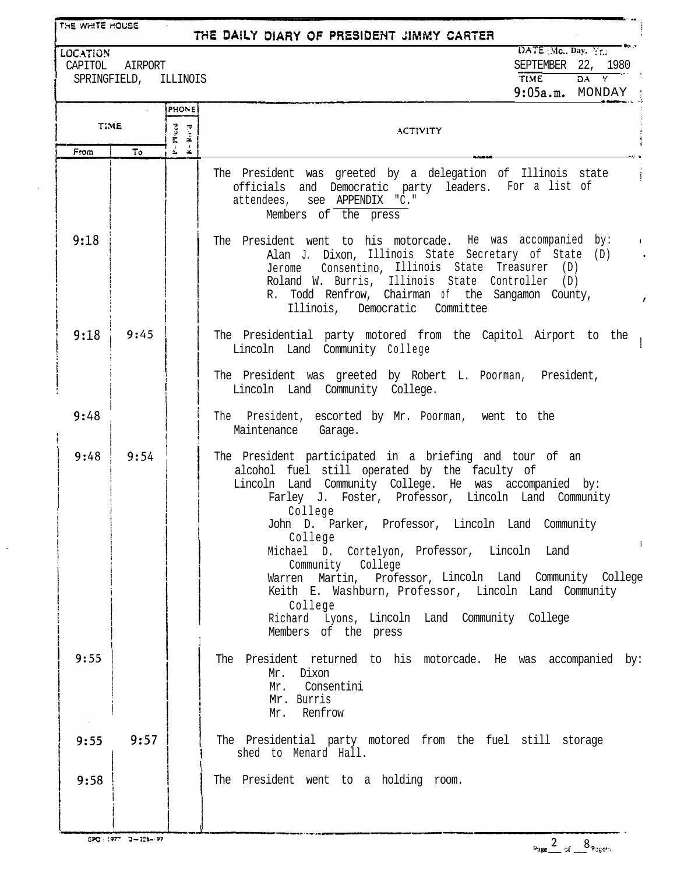| THE WHITE HOUSE<br>THE DAILY DIARY OF PRESIDENT JIMMY CARTER                                                                                                                |      |                                          |                                                                                                                                                                                                                                                                                                                                                                                                                                                                                                                                                                                    |  |  |  |
|-----------------------------------------------------------------------------------------------------------------------------------------------------------------------------|------|------------------------------------------|------------------------------------------------------------------------------------------------------------------------------------------------------------------------------------------------------------------------------------------------------------------------------------------------------------------------------------------------------------------------------------------------------------------------------------------------------------------------------------------------------------------------------------------------------------------------------------|--|--|--|
| $\overline{\mathsf{DATE}}$ (Mc., Day, Yr.,<br>LOCATION<br>SEPTEMBER 22, 1980<br>CAPITOL<br>AIRPORT<br>$DA$ $Y$<br><b>TIME</b><br>SPRINGFIELD, ILLINOIS<br>$9:05a.m.$ MONDAY |      |                                          |                                                                                                                                                                                                                                                                                                                                                                                                                                                                                                                                                                                    |  |  |  |
| <b>TIME</b>                                                                                                                                                                 |      | <b>PHONE</b><br>P=Placed<br>$\mathbf{R}$ | <b>ACTIVITY</b>                                                                                                                                                                                                                                                                                                                                                                                                                                                                                                                                                                    |  |  |  |
| From                                                                                                                                                                        | То   | $\mathbf{x}$                             |                                                                                                                                                                                                                                                                                                                                                                                                                                                                                                                                                                                    |  |  |  |
|                                                                                                                                                                             |      |                                          | The President was greeted by a delegation of Illinois state<br>officials and Democratic party leaders. For a list of<br>attendees, see APPENDIX "C."<br>Members of the press                                                                                                                                                                                                                                                                                                                                                                                                       |  |  |  |
| 9:18                                                                                                                                                                        |      |                                          | The President went to his motorcade. He was accompanied by:<br><b>Contract</b><br>Alan J. Dixon, Illinois State Secretary of State (D)<br>Jerome Consentino, Illinois State Treasurer (D)<br>Roland W. Burris, Illinois State Controller (D)<br>R. Todd Renfrow, Chairman of the Sangamon County,<br>Illinois, Democratic Committee                                                                                                                                                                                                                                                |  |  |  |
| 9:18                                                                                                                                                                        | 9:45 |                                          | The Presidential party motored from the Capitol Airport to the<br>Lincoln Land Community College                                                                                                                                                                                                                                                                                                                                                                                                                                                                                   |  |  |  |
|                                                                                                                                                                             |      |                                          | The President was greeted by Robert L. Poorman, President,<br>Lincoln Land Community College.                                                                                                                                                                                                                                                                                                                                                                                                                                                                                      |  |  |  |
| 9:48                                                                                                                                                                        |      |                                          | The President, escorted by Mr. Poorman, went to the<br>Maintenance Garage.                                                                                                                                                                                                                                                                                                                                                                                                                                                                                                         |  |  |  |
| 9:48                                                                                                                                                                        | 9:54 |                                          | The President participated in a briefing and tour of an<br>alcohol fuel still operated by the faculty of<br>Lincoln Land Community College. He was accompanied by:<br>Farley J. Foster, Professor, Lincoln Land Community<br>College<br>John D. Parker, Professor, Lincoln Land Community<br>College<br>Michael D. Cortelyon, Professor, Lincoln Land<br>Community College<br>Warren Martin, Professor, Lincoln Land Community College<br>Keith E. Washburn, Professor, Lincoln Land Community<br>College<br>Richard Lyons, Lincoln Land Community College<br>Members of the press |  |  |  |
| 9:55                                                                                                                                                                        |      |                                          | The President returned to his motorcade. He was accompanied by:<br>Mr. Dixon<br>Mr. Consentini<br>Mr. Burris<br>Mr. Renfrow                                                                                                                                                                                                                                                                                                                                                                                                                                                        |  |  |  |
| 9:55                                                                                                                                                                        | 9:57 |                                          | The Presidential party motored from the fuel still storage<br>shed to Menard Hall.                                                                                                                                                                                                                                                                                                                                                                                                                                                                                                 |  |  |  |
| 9:58                                                                                                                                                                        |      |                                          | The President went to a holding room.                                                                                                                                                                                                                                                                                                                                                                                                                                                                                                                                              |  |  |  |
|                                                                                                                                                                             |      |                                          |                                                                                                                                                                                                                                                                                                                                                                                                                                                                                                                                                                                    |  |  |  |

 $\ddot{\phantom{a}}$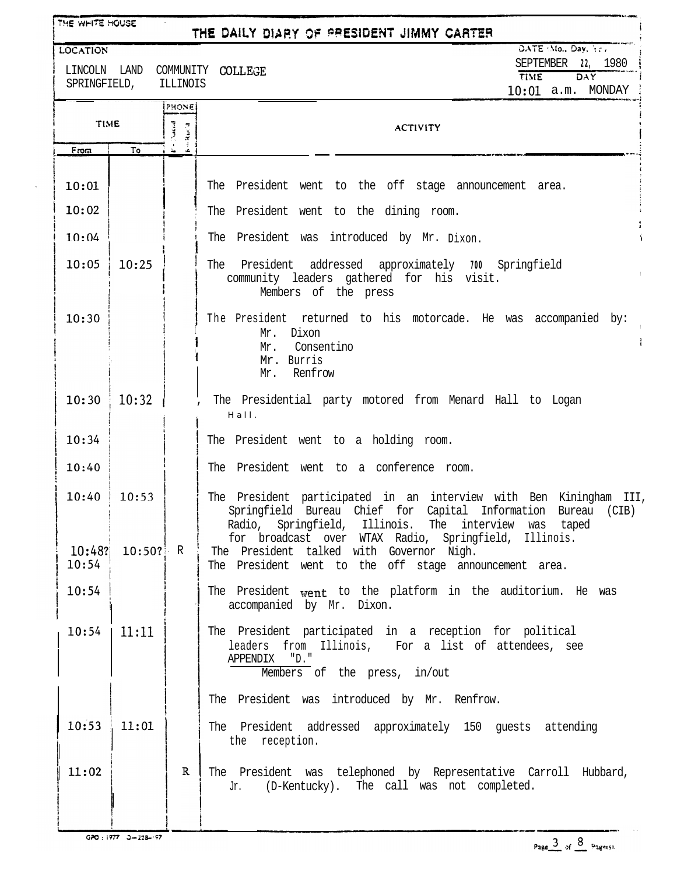| THE WHITE HOUSE<br>THE DAILY DIARY OF PRESIDENT JIMMY CARTER |                     |             |                                                                                                                                                                                                                                                                                                   |  |
|--------------------------------------------------------------|---------------------|-------------|---------------------------------------------------------------------------------------------------------------------------------------------------------------------------------------------------------------------------------------------------------------------------------------------------|--|
| <b>LOCATION</b>                                              |                     |             | DATE : Mo., Day, Yr.<br>SEPTEMBER 22, 1980                                                                                                                                                                                                                                                        |  |
| LINCOLN<br>SPRINGFIELD,                                      | LAND                | ILLINOIS    | COMMUNITY COLLEGE<br>TIME<br>DAY<br>10:01 a.m. MONDAY                                                                                                                                                                                                                                             |  |
|                                                              |                     | PHONE       |                                                                                                                                                                                                                                                                                                   |  |
| <b>TIME</b>                                                  |                     |             | <b>ACTIVITY</b>                                                                                                                                                                                                                                                                                   |  |
| From                                                         | To                  |             |                                                                                                                                                                                                                                                                                                   |  |
| 10:01                                                        |                     |             | The President went to the off stage announcement area.                                                                                                                                                                                                                                            |  |
| 10:02                                                        |                     |             | The President went to the dining room.                                                                                                                                                                                                                                                            |  |
| 10:04                                                        |                     |             | The President was introduced by Mr. Dixon.                                                                                                                                                                                                                                                        |  |
| 10:05                                                        | 10:25               |             | President addressed approximately 700 Springfield<br>The<br>community leaders gathered for his visit.<br>Members of the press                                                                                                                                                                     |  |
| 10:30                                                        |                     |             | The President returned to his motorcade. He was accompanied by:<br>Mr. Dixon<br>Ť.<br>Mr. Consentino<br>Mr. Burris<br>Mr. Renfrow                                                                                                                                                                 |  |
| 10:30                                                        | 10:32               |             | The Presidential party motored from Menard Hall to Logan<br>Hall.                                                                                                                                                                                                                                 |  |
| 10:34                                                        |                     |             | The President went to a holding room.                                                                                                                                                                                                                                                             |  |
| 10:40                                                        |                     |             | The President went to a conference room.                                                                                                                                                                                                                                                          |  |
| 10:40<br>10:48?                                              | 10:53<br>$10:50?$ R |             | The President participated in an interview with Ben Kiningham III,<br>Springfield Bureau Chief for Capital Information Bureau (CIB)<br>Radio, Springfield, Illinois. The interview was taped<br>for broadcast over WTAX Radio, Springfield, Illinois.<br>The President talked with Governor Nigh. |  |
| 10:54                                                        |                     |             | The President went to the off stage announcement area.                                                                                                                                                                                                                                            |  |
| 10:54                                                        |                     |             | The President went to the platform in the auditorium. He was<br>accompanied by Mr. Dixon.                                                                                                                                                                                                         |  |
| 10:54                                                        | 11:11               |             | The President participated in a reception for political<br>leaders from Illinois, For a list of attendees, see<br>"D."<br>APPENDIX<br>Members of the press, in/out                                                                                                                                |  |
|                                                              |                     |             | The President was introduced by Mr. Renfrow.                                                                                                                                                                                                                                                      |  |
| 10:53                                                        | 11:01               |             | The President addressed approximately 150 guests attending<br>the reception.                                                                                                                                                                                                                      |  |
| 11:02                                                        |                     | $\mathbf R$ | The President was telephoned by Representative Carroll Hubbard,<br>(D-Kentucky). The call was not completed.<br>Jr.                                                                                                                                                                               |  |
|                                                              |                     |             |                                                                                                                                                                                                                                                                                                   |  |

 $\ddot{\phantom{1}}$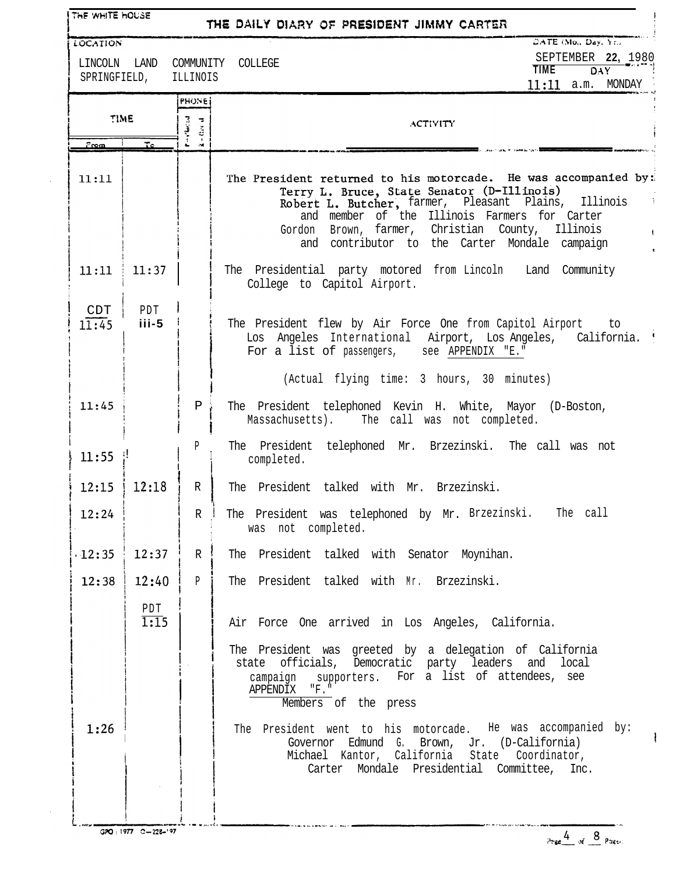| LINCOLN LAND<br>SPRINGFIELD, | <b>LOCATION</b>     | ILLINOIS                            | SEPTEMBER 22, 1980<br>COMMUNITY COLLEGE<br><b>TIME</b><br><b>DAY</b><br>$11:11$ a.m. MONDAY                                                                                                                                                                                                                                           |
|------------------------------|---------------------|-------------------------------------|---------------------------------------------------------------------------------------------------------------------------------------------------------------------------------------------------------------------------------------------------------------------------------------------------------------------------------------|
| TIME                         |                     | <b>PHONE</b><br>Pinylardd<br>$-3x2$ | <b>ACTIVITY</b>                                                                                                                                                                                                                                                                                                                       |
| <u>From </u>                 | To.                 | $\sim$                              |                                                                                                                                                                                                                                                                                                                                       |
| 11:11                        |                     |                                     | The President returned to his motorcade. He was accompanied by:<br>Terry L. Bruce, State Senator (D-Illinois)<br>Robert L. Butcher, farmer, Pleasant Plains,<br>Illinois<br>and member of the Illinois Farmers for Carter<br>Brown, farmer, Christian County, Illinois<br>Gordon<br>contributor to the Carter Mondale campaign<br>and |
| 11:11                        | $\frac{1}{2}$ 11:37 |                                     | The Presidential party motored from Lincoln Land Community<br>College to Capitol Airport.                                                                                                                                                                                                                                             |
| CDT<br>11:45                 | PDT<br>$iii-5$      |                                     | The President flew by Air Force One from Capitol Airport to<br>Los Angeles International Airport, Los Angeles, California.<br>For a list of passengers, see APPENDIX "E."                                                                                                                                                             |
|                              |                     |                                     | (Actual flying time: 3 hours, 30 minutes)                                                                                                                                                                                                                                                                                             |
| 11:45                        |                     | $\mathbf{P}$                        | The President telephoned Kevin H. White, Mayor (D-Boston,<br>Massachusetts). The call was not completed.                                                                                                                                                                                                                              |
| $11:55$ !                    |                     | P                                   | The President telephoned Mr. Brzezinski. The call was not<br>completed.                                                                                                                                                                                                                                                               |
| 12:15                        | 12:18               | R                                   | The President talked with Mr. Brzezinski.                                                                                                                                                                                                                                                                                             |
| 12:24                        |                     | $\mathbb{R}$                        | The President was telephoned by Mr. Brzezinski. The call<br>was not completed.                                                                                                                                                                                                                                                        |
| $\cdot$ 12:35                | 12:37               | $\mathbb{R}$                        | The President talked with Senator Moynihan.                                                                                                                                                                                                                                                                                           |
| 12:38                        | 12:40               | P                                   | The President talked with Mr. Brzezinski.                                                                                                                                                                                                                                                                                             |
|                              | PDT<br>1:15         |                                     | Air Force One arrived in Los Angeles, California.                                                                                                                                                                                                                                                                                     |
|                              |                     |                                     | The President was greeted by a delegation of California<br>state officials, Democratic party leaders and local<br>campaign supporters. For a list of attendees, see<br>APPENDIX "F."<br>Members of the press                                                                                                                          |
| 1:26                         |                     |                                     | The President went to his motorcade. He was accompanied by:<br>Governor Edmund G. Brown, Jr. (D-California)<br>Michael Kantor, California State Coordinator,<br>Carter Mondale Presidential Committee, Inc.                                                                                                                           |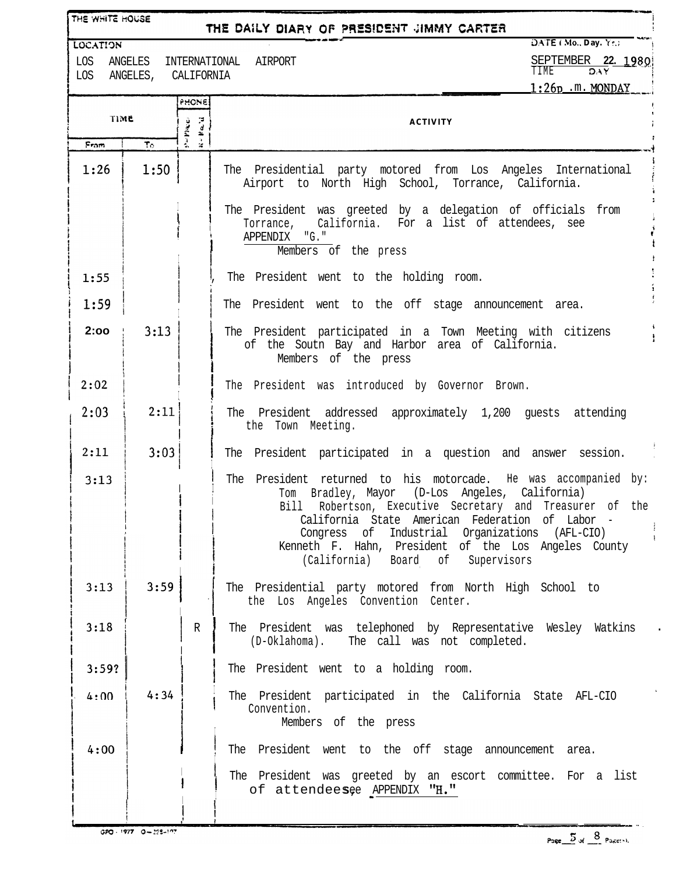| THE WHITE HOUSE<br>THE DAILY DIARY OF PRESIDENT JIMMY CARTER |                                       |                                        |                                                                                                                                                                                                                                                                                                                                                                                     |  |  |  |  |
|--------------------------------------------------------------|---------------------------------------|----------------------------------------|-------------------------------------------------------------------------------------------------------------------------------------------------------------------------------------------------------------------------------------------------------------------------------------------------------------------------------------------------------------------------------------|--|--|--|--|
| <b>LOCATION</b>                                              | DATE (Mo., Day. Yr.)<br>INTERNATIONAL |                                        |                                                                                                                                                                                                                                                                                                                                                                                     |  |  |  |  |
| LOS<br>LOS                                                   | ANGELES<br>ANGELES, CALIFORNIA        |                                        | SEPTEMBER 22. 1980<br>AIRPORT<br>TIME<br>DAY                                                                                                                                                                                                                                                                                                                                        |  |  |  |  |
|                                                              |                                       | PHONE                                  | $1:26p$ .m. MONDAY                                                                                                                                                                                                                                                                                                                                                                  |  |  |  |  |
| TIME                                                         |                                       | $\sim$ Placed<br>$u + \beta \alpha, u$ | <b>ACTIVITY</b>                                                                                                                                                                                                                                                                                                                                                                     |  |  |  |  |
| From                                                         | Te.                                   |                                        |                                                                                                                                                                                                                                                                                                                                                                                     |  |  |  |  |
| 1:26                                                         | 1:50                                  |                                        | The Presidential party motored from Los Angeles International<br>Airport to North High School, Torrance, California.                                                                                                                                                                                                                                                                |  |  |  |  |
|                                                              |                                       |                                        | The President was greeted by a delegation of officials from<br>California. For a list of attendees, see<br>Torrance,<br>APPENDIX "G."<br>Members of the press                                                                                                                                                                                                                       |  |  |  |  |
| 1:55                                                         |                                       |                                        | The President went to the holding room.                                                                                                                                                                                                                                                                                                                                             |  |  |  |  |
| 1:59                                                         |                                       |                                        | The President went to the off stage announcement area.                                                                                                                                                                                                                                                                                                                              |  |  |  |  |
| 2:00                                                         | 3:13                                  |                                        | The President participated in a Town Meeting with citizens<br>of the Soutn Bay and Harbor area of California.<br>Members of the press                                                                                                                                                                                                                                               |  |  |  |  |
| 2:02                                                         |                                       |                                        | The President was introduced by Governor Brown.                                                                                                                                                                                                                                                                                                                                     |  |  |  |  |
| 2:03                                                         | 2:11                                  |                                        | The President addressed approximately 1,200 guests attending<br>the Town Meeting.                                                                                                                                                                                                                                                                                                   |  |  |  |  |
| 2:11                                                         | 3:03                                  |                                        | The President participated in a question and answer session.                                                                                                                                                                                                                                                                                                                        |  |  |  |  |
| 3:13                                                         |                                       |                                        | President returned to his motorcade. He was accompanied by:<br>The<br>Tom Bradley, Mayor (D-Los Angeles, California)<br>Bill<br>Robertson, Executive Secretary and Treasurer of the<br>California State American Federation of Labor<br>Congress of Industrial Organizations (AFL-CIO)<br>Kenneth F. Hahn, President of the Los Angeles County<br>(California) Board of Supervisors |  |  |  |  |
| 3:13                                                         | 3:59                                  |                                        | The Presidential party motored from North High School to<br>the Los Angeles Convention Center.                                                                                                                                                                                                                                                                                      |  |  |  |  |
| 3:18                                                         |                                       | R                                      | The President was telephoned by Representative Wesley Watkins<br>The call was not completed.<br>(D-Oklahoma).                                                                                                                                                                                                                                                                       |  |  |  |  |
| 3:59?                                                        |                                       |                                        | The President went to a holding room.                                                                                                                                                                                                                                                                                                                                               |  |  |  |  |
| 4:00                                                         | 4:34                                  |                                        | The President participated in the California State AFL-CIO<br>Convention.<br>Members of the press                                                                                                                                                                                                                                                                                   |  |  |  |  |
| 4:00                                                         |                                       |                                        | The President went to the off stage announcement area.                                                                                                                                                                                                                                                                                                                              |  |  |  |  |
|                                                              |                                       |                                        | The President was greeted by an escort committee. For a list<br>of attendeesee APPENDIX "H."                                                                                                                                                                                                                                                                                        |  |  |  |  |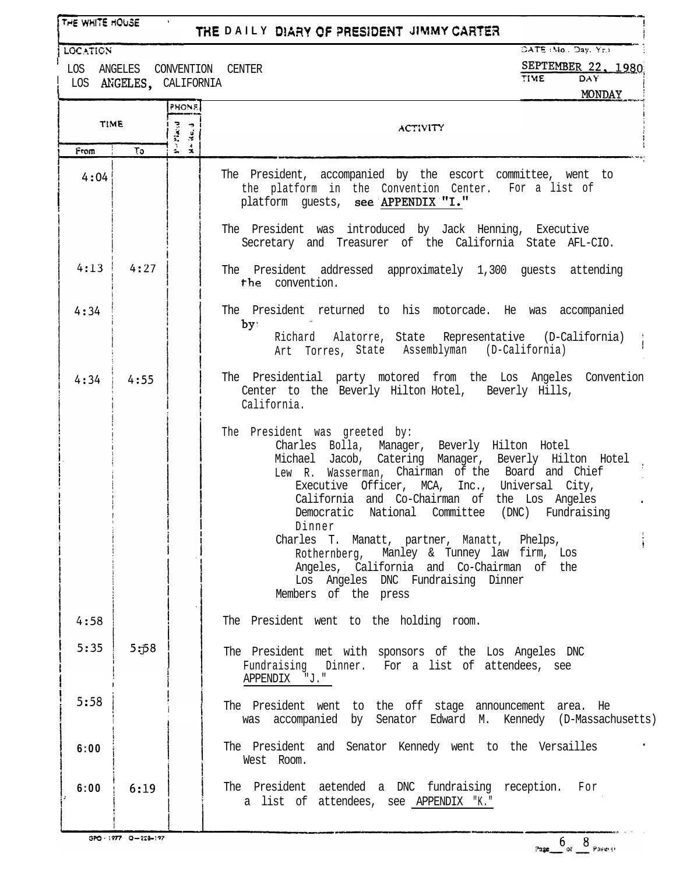| THE WHITE HOUSE                                                                                                                                              |      |                                                                         | THE DAILY DIARY OF PRESIDENT JIMMY CARTER                                                                                                                                                                                                                                                                                                                                                                                                                                                                                                      |  |  |  |  |
|--------------------------------------------------------------------------------------------------------------------------------------------------------------|------|-------------------------------------------------------------------------|------------------------------------------------------------------------------------------------------------------------------------------------------------------------------------------------------------------------------------------------------------------------------------------------------------------------------------------------------------------------------------------------------------------------------------------------------------------------------------------------------------------------------------------------|--|--|--|--|
| DATE (Mo., Day, Yr.)<br><b>LOCATION</b><br>SEPTEMBER 22, 1980<br>LOS ANGELES<br>CONVENTION CENTER<br><b>TIME</b><br>DAY<br>LOS ANGELES. CALIFORNIA<br>MONDAY |      |                                                                         |                                                                                                                                                                                                                                                                                                                                                                                                                                                                                                                                                |  |  |  |  |
| <b>TIME</b>                                                                                                                                                  |      | PHONE<br>$\mathbf{P} \cup \mathbf{P}$ and<br><b>P</b><br>$\frac{d}{dt}$ | <b>ACTIVITY</b>                                                                                                                                                                                                                                                                                                                                                                                                                                                                                                                                |  |  |  |  |
| From                                                                                                                                                         | To.  | $\mathbf{r}$                                                            |                                                                                                                                                                                                                                                                                                                                                                                                                                                                                                                                                |  |  |  |  |
| 4:04                                                                                                                                                         |      |                                                                         | The President, accompanied by the escort committee, went to<br>the platform in the Convention Center. For a list of<br>platform guests, see APPENDIX "I."<br>The President was introduced by Jack Henning, Executive                                                                                                                                                                                                                                                                                                                           |  |  |  |  |
|                                                                                                                                                              |      |                                                                         | Secretary and Treasurer of the California State AFL-CIO.                                                                                                                                                                                                                                                                                                                                                                                                                                                                                       |  |  |  |  |
| 4:13                                                                                                                                                         | 4:27 |                                                                         | The President addressed approximately 1,300 quests attending<br>the convention.                                                                                                                                                                                                                                                                                                                                                                                                                                                                |  |  |  |  |
| 4:34                                                                                                                                                         |      |                                                                         | The President returned to his motorcade. He was accompanied<br>by:<br>Richard Alatorre, State Representative (D-California)<br>Art Torres, State Assemblyman (D-California)                                                                                                                                                                                                                                                                                                                                                                    |  |  |  |  |
| 4:34                                                                                                                                                         | 4:55 |                                                                         | The Presidential party motored from the Los Angeles Convention<br>Center to the Beverly Hilton Hotel, Beverly Hills,<br>California.                                                                                                                                                                                                                                                                                                                                                                                                            |  |  |  |  |
|                                                                                                                                                              |      |                                                                         | The President was greeted by:<br>Charles Bolla, Manager, Beverly Hilton Hotel<br>Jacob, Catering Manager, Beverly Hilton Hotel<br>Michael<br>Lew R. Wasserman, Chairman of the Board and Chief<br>Executive Officer, MCA, Inc., Universal City,<br>California and Co-Chairman of the Los Angeles<br>Democratic National Committee (DNC) Fundraising<br>Dinner<br>Charles T. Manatt, partner, Manatt, Phelps,<br>Rothernberg, Manley & Tunney law firm, Los<br>Angeles, California and Co-Chairman of the<br>Los Angeles DNC Fundraising Dinner |  |  |  |  |
|                                                                                                                                                              |      |                                                                         | Members of the press                                                                                                                                                                                                                                                                                                                                                                                                                                                                                                                           |  |  |  |  |
| 4:58                                                                                                                                                         |      |                                                                         | The President went to the holding room.                                                                                                                                                                                                                                                                                                                                                                                                                                                                                                        |  |  |  |  |
| 5:35                                                                                                                                                         | 5:58 |                                                                         | The President met with sponsors of the Los Angeles DNC<br>Fundraising Dinner. For a list of attendees, see<br>APPENDIX "J."                                                                                                                                                                                                                                                                                                                                                                                                                    |  |  |  |  |

The President went to the off stage announcement area. He

The President and Senator Kennedy went to the Versailles

The President aetended a DNC fundraising reception. For

a list of attendees, see APPENDIX "K."

West Room.

was accompanied by Senator Edward M. Kennedy (D-Massachusetts)

 $6:19$ 

 $5:58$ 

 $6:00$ 

 $6:00$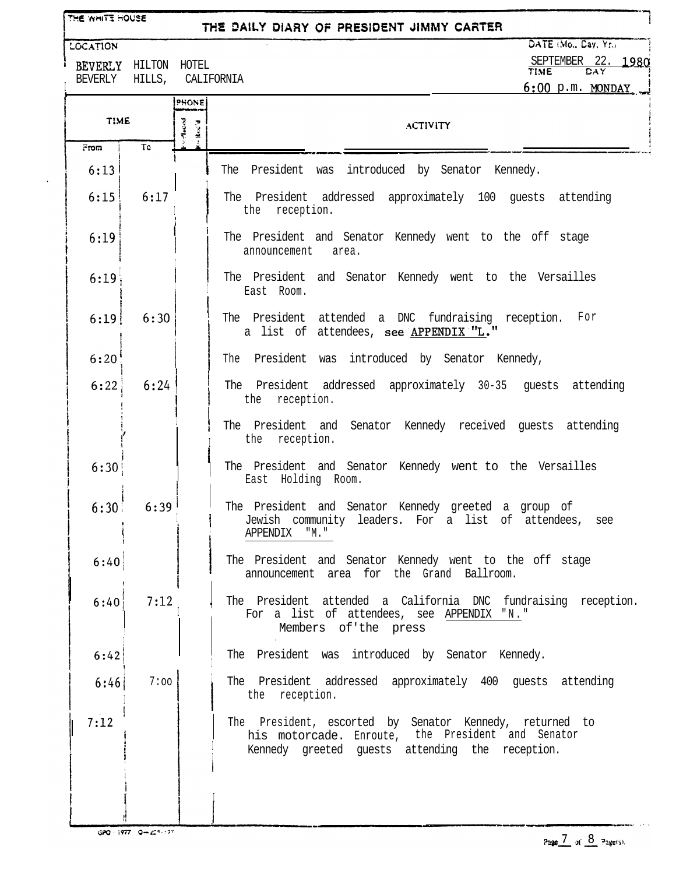THE WHITE HOUSE

## THE DAILY DIARY OF PRESIDENT JIMMY CARTER

LOCATION

I

BEVERLY HILTON HOTEL

DATE (Mo., Cay, Yr., SEPTEMBER 22. **1980**<br>TIME DAY

| BEVERLY HILLS, |           |                          | CALIFORNIA                                                                                                                                                      | $6:00$ p.m. MONDAY |  |  |
|----------------|-----------|--------------------------|-----------------------------------------------------------------------------------------------------------------------------------------------------------------|--------------------|--|--|
|                |           | PHONE                    |                                                                                                                                                                 |                    |  |  |
| <b>TIME</b>    |           | Macros<br>$k_{\rm sc}$ d | <b>ACTIVITY</b>                                                                                                                                                 |                    |  |  |
| From           | <b>To</b> |                          |                                                                                                                                                                 |                    |  |  |
| 6:13           |           |                          | The President<br>introduced by Senator Kennedy.<br>was                                                                                                          |                    |  |  |
| 6:15           | 6:17      |                          | The President addressed approximately 100 guests attending<br>the reception.                                                                                    |                    |  |  |
| 6:19           |           |                          | The President and Senator Kennedy went to the off stage<br>announcement<br>area.                                                                                |                    |  |  |
| 6:19           |           |                          | The President and Senator Kennedy went to the Versailles<br>East Room.                                                                                          |                    |  |  |
| 6:19           | 6:30      |                          | The President attended a DNC fundraising reception. For<br>a list of attendees, see APPENDIX "L."                                                               |                    |  |  |
| 6:20           |           |                          | The President was introduced by Senator Kennedy,                                                                                                                |                    |  |  |
| 6:22           | 6:24      |                          | The President addressed approximately 30-35 guests attending<br>the<br>reception.                                                                               |                    |  |  |
|                |           |                          | The President and Senator Kennedy received quests attending<br>the reception.                                                                                   |                    |  |  |
| 6:30           |           |                          | The President and Senator Kennedy went to the Versailles<br>East Holding Room.                                                                                  |                    |  |  |
| 6:30           | 6:39      |                          | The President and Senator Kennedy greeted a group of<br>Jewish community leaders. For a list of attendees,<br>APPENDIX<br>"M."                                  | see                |  |  |
| 6:40           |           |                          | The President and Senator Kennedy went to the off stage<br>announcement area for the Grand Ballroom.                                                            |                    |  |  |
| 6:40           | 7:12      |                          | The President attended a California DNC fundraising reception.<br>For a list of attendees, see APPENDIX "N."<br>Members of the press                            |                    |  |  |
| 6:42           |           |                          | The President was introduced by Senator Kennedy.                                                                                                                |                    |  |  |
| 6:46           | 7:00      |                          | The President addressed approximately 400 guests attending<br>the reception.                                                                                    |                    |  |  |
| 7:12           |           |                          | The President, escorted by Senator Kennedy, returned to<br>his motorcade. Enroute, the President and Senator<br>Kennedy greeted guests attending the reception. |                    |  |  |
|                |           |                          |                                                                                                                                                                 |                    |  |  |